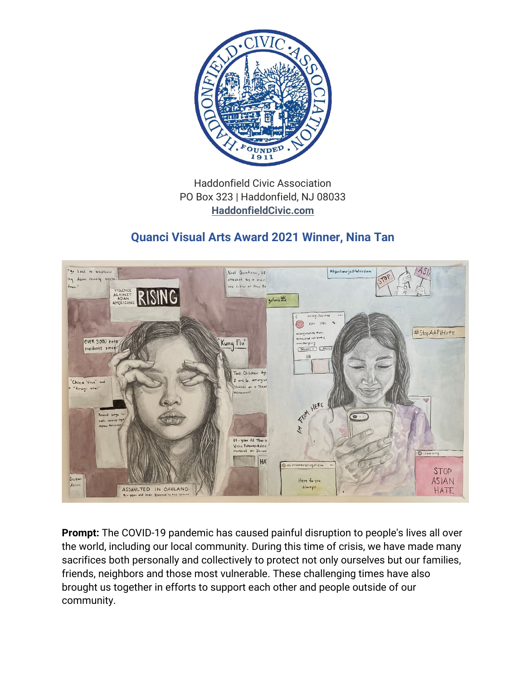

## Haddonfield Civic Association PO Box 323 | Haddonfield, NJ 08033 **[HaddonfieldCivic.com](https://haddonfieldcivic.com/)**

## **Quanci Visual Arts Award 2021 Winner, Nina Tan**



**Prompt:** The COVID-19 pandemic has caused painful disruption to people's lives all over the world, including our local community. During this time of crisis, we have made many sacrifices both personally and collectively to protect not only ourselves but our families, friends, neighbors and those most vulnerable. These challenging times have also brought us together in efforts to support each other and people outside of our community.